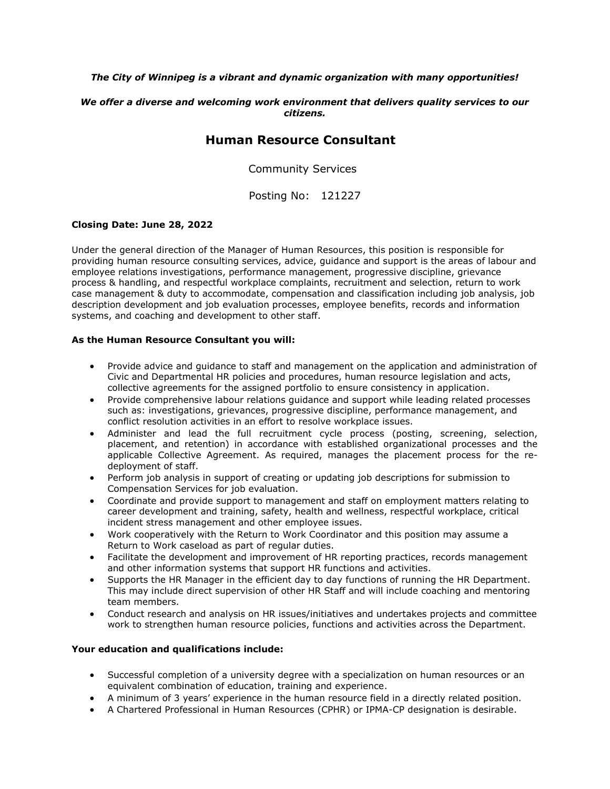#### *The City of Winnipeg is a vibrant and dynamic organization with many opportunities!*

#### *We offer a diverse and welcoming work environment that delivers quality services to our citizens.*

## **Human Resource Consultant**

Community Services

Posting No: 121227

#### **Closing Date: June 28, 2022**

Under the general direction of the Manager of Human Resources, this position is responsible for providing human resource consulting services, advice, guidance and support is the areas of labour and employee relations investigations, performance management, progressive discipline, grievance process & handling, and respectful workplace complaints, recruitment and selection, return to work case management & duty to accommodate, compensation and classification including job analysis, job description development and job evaluation processes, employee benefits, records and information systems, and coaching and development to other staff.

#### **As the Human Resource Consultant you will:**

- Provide advice and guidance to staff and management on the application and administration of Civic and Departmental HR policies and procedures, human resource legislation and acts, collective agreements for the assigned portfolio to ensure consistency in application.
- Provide comprehensive labour relations guidance and support while leading related processes such as: investigations, grievances, progressive discipline, performance management, and conflict resolution activities in an effort to resolve workplace issues.
- Administer and lead the full recruitment cycle process (posting, screening, selection, placement, and retention) in accordance with established organizational processes and the applicable Collective Agreement. As required, manages the placement process for the redeployment of staff.
- Perform job analysis in support of creating or updating job descriptions for submission to Compensation Services for job evaluation.
- Coordinate and provide support to management and staff on employment matters relating to career development and training, safety, health and wellness, respectful workplace, critical incident stress management and other employee issues.
- Work cooperatively with the Return to Work Coordinator and this position may assume a Return to Work caseload as part of regular duties.
- Facilitate the development and improvement of HR reporting practices, records management and other information systems that support HR functions and activities.
- Supports the HR Manager in the efficient day to day functions of running the HR Department. This may include direct supervision of other HR Staff and will include coaching and mentoring team members.
- Conduct research and analysis on HR issues/initiatives and undertakes projects and committee work to strengthen human resource policies, functions and activities across the Department.

#### **Your education and qualifications include:**

- Successful completion of a university degree with a specialization on human resources or an equivalent combination of education, training and experience.
- A minimum of 3 years' experience in the human resource field in a directly related position.
- A Chartered Professional in Human Resources (CPHR) or IPMA-CP designation is desirable.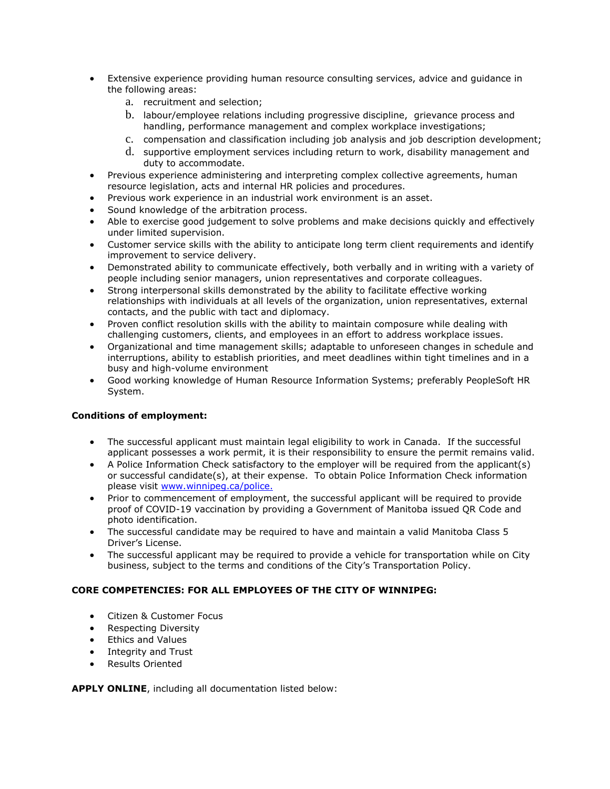- Extensive experience providing human resource consulting services, advice and guidance in the following areas:
	- a. recruitment and selection;
	- b. labour/employee relations including progressive discipline, grievance process and handling, performance management and complex workplace investigations;
	- c. compensation and classification including job analysis and job description development;
	- d. supportive employment services including return to work, disability management and duty to accommodate.
- Previous experience administering and interpreting complex collective agreements, human resource legislation, acts and internal HR policies and procedures.
- Previous work experience in an industrial work environment is an asset.
- Sound knowledge of the arbitration process.
- Able to exercise good judgement to solve problems and make decisions quickly and effectively under limited supervision.
- Customer service skills with the ability to anticipate long term client requirements and identify improvement to service delivery.
- Demonstrated ability to communicate effectively, both verbally and in writing with a variety of people including senior managers, union representatives and corporate colleagues.
- Strong interpersonal skills demonstrated by the ability to facilitate effective working relationships with individuals at all levels of the organization, union representatives, external contacts, and the public with tact and diplomacy.
- Proven conflict resolution skills with the ability to maintain composure while dealing with challenging customers, clients, and employees in an effort to address workplace issues.
- Organizational and time management skills; adaptable to unforeseen changes in schedule and interruptions, ability to establish priorities, and meet deadlines within tight timelines and in a busy and high-volume environment
- Good working knowledge of Human Resource Information Systems; preferably PeopleSoft HR System.

### **Conditions of employment:**

- The successful applicant must maintain legal eligibility to work in Canada. If the successful applicant possesses a work permit, it is their responsibility to ensure the permit remains valid.
- A Police Information Check satisfactory to the employer will be required from the applicant(s) or successful candidate(s), at their expense. To obtain Police Information Check information please visit [www.winnipeg.ca/police.](http://www.winnipeg.ca/police)
- Prior to commencement of employment, the successful applicant will be required to provide proof of COVID-19 vaccination by providing a Government of Manitoba issued QR Code and photo identification.
- The successful candidate may be required to have and maintain a valid Manitoba Class 5 Driver's License.
- The successful applicant may be required to provide a vehicle for transportation while on City business, subject to the terms and conditions of the City's Transportation Policy.

#### **CORE COMPETENCIES: FOR ALL EMPLOYEES OF THE CITY OF WINNIPEG:**

- Citizen & Customer Focus
- Respecting Diversity
- Ethics and Values
- Integrity and Trust
- Results Oriented

**APPLY ONLINE**, including all documentation listed below: